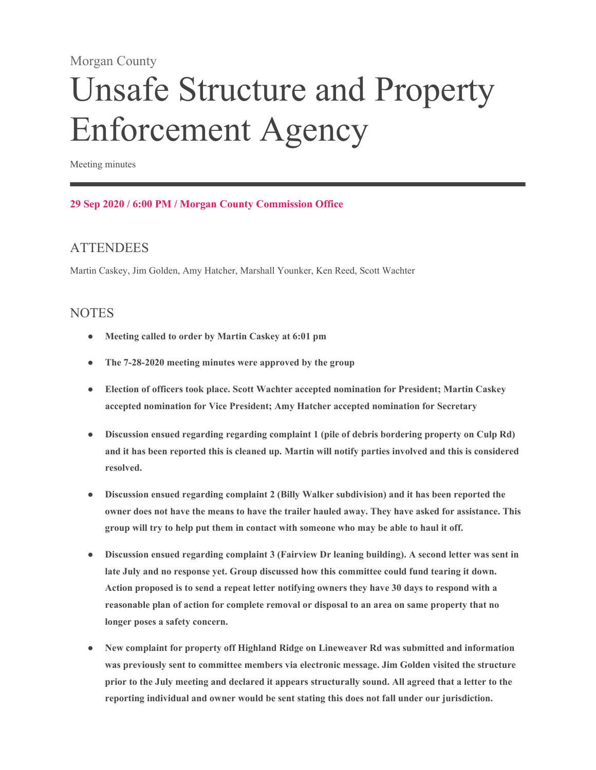#### Morgan County

# Unsafe Structure and Property Enforcement Agency

Meeting minutes

#### **29 Sep 2020 / 6:00 PM / Morgan County Commission Office**

## **ATTENDEES**

Martin Caskey, Jim Golden, Amy Hatcher, Marshall Younker, Ken Reed, Scott Wachter

#### **NOTES**

- **Meeting called to order by Martin Caskey at 6:01 pm**
- **The 7-28-2020 meeting minutes were approved by the group**
- **Election of officers took place. Scott Wachter accepted nomination for President; Martin Caskey accepted nomination for Vice President; Amy Hatcher accepted nomination for Secretary**
- **Discussion ensued regarding regarding complaint 1 (pile of debris bordering property on Culp Rd) and it has been reported this is cleaned up. Martin will notify parties involved and this is considered resolved.**
- **Discussion ensued regarding complaint 2 (Billy Walker subdivision) and it has been reported the owner does not have the means to have the trailer hauled away. They have asked for assistance. This group will try to help put them in contact with someone who may be able to haul it off.**
- **Discussion ensued regarding complaint 3 (Fairview Dr leaning building). A second letter was sent in late July and no response yet. Group discussed how this committee could fund tearing it down. Action proposed is to send a repeat letter notifying owners they have 30 days to respond with a reasonable plan of action for complete removal or disposal to an area on same property that no longer poses a safety concern.**
- **New complaint for property off Highland Ridge on Lineweaver Rd was submitted and information was previously sent to committee members via electronic message. Jim Golden visited the structure prior to the July meeting and declared it appears structurally sound. All agreed that a letter to the reporting individual and owner would be sent stating this does not fall under our jurisdiction.**